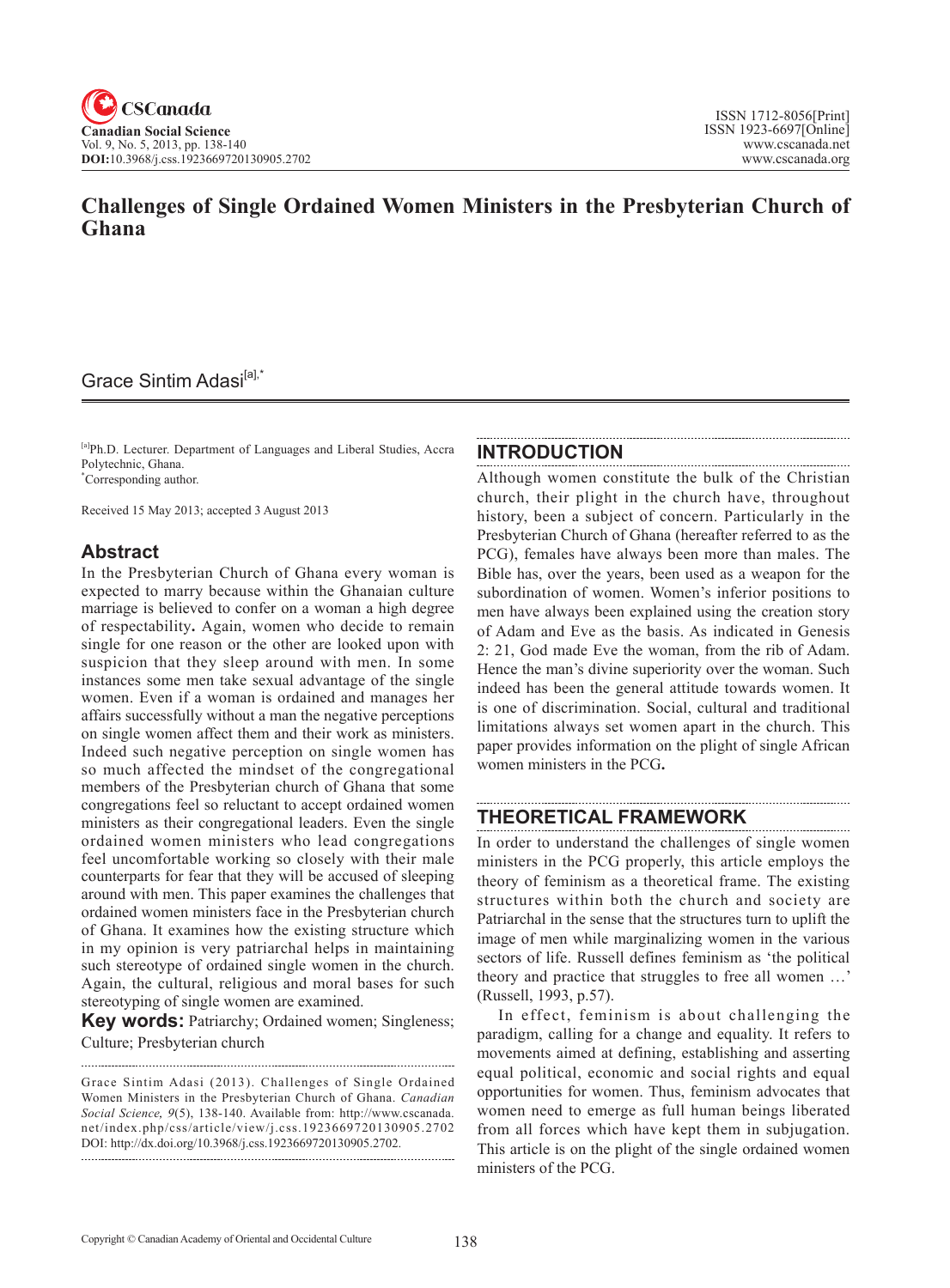# **Challenges of Single Ordained Women Ministers in the Presbyterian Church of Ghana**

## Grace Sintim Adasi<sup>[a],\*</sup>

[a]Ph.D. Lecturer. Department of Languages and Liberal Studies, Accra Polytechnic, Ghana. \* Corresponding author.

Received 15 May 2013; accepted 3 August 2013

### **Abstract**

In the Presbyterian Church of Ghana every woman is expected to marry because within the Ghanaian culture marriage is believed to confer on a woman a high degree of respectability**.** Again, women who decide to remain single for one reason or the other are looked upon with suspicion that they sleep around with men. In some instances some men take sexual advantage of the single women. Even if a woman is ordained and manages her affairs successfully without a man the negative perceptions on single women affect them and their work as ministers. Indeed such negative perception on single women has so much affected the mindset of the congregational members of the Presbyterian church of Ghana that some congregations feel so reluctant to accept ordained women ministers as their congregational leaders. Even the single ordained women ministers who lead congregations feel uncomfortable working so closely with their male counterparts for fear that they will be accused of sleeping around with men. This paper examines the challenges that ordained women ministers face in the Presbyterian church of Ghana. It examines how the existing structure which in my opinion is very patriarchal helps in maintaining such stereotype of ordained single women in the church. Again, the cultural, religious and moral bases for such stereotyping of single women are examined.

**Key words: Patriarchy; Ordained women; Singleness;** Culture; Presbyterian church

#### **INTRODUCTION**

Although women constitute the bulk of the Christian church, their plight in the church have, throughout history, been a subject of concern. Particularly in the Presbyterian Church of Ghana (hereafter referred to as the PCG), females have always been more than males. The Bible has, over the years, been used as a weapon for the subordination of women. Women's inferior positions to men have always been explained using the creation story of Adam and Eve as the basis. As indicated in Genesis 2: 21, God made Eve the woman, from the rib of Adam. Hence the man's divine superiority over the woman. Such indeed has been the general attitude towards women. It is one of discrimination. Social, cultural and traditional limitations always set women apart in the church. This paper provides information on the plight of single African women ministers in the PCG**.**

### **THEORETICAL FRAMEWORK**

In order to understand the challenges of single women ministers in the PCG properly, this article employs the theory of feminism as a theoretical frame. The existing structures within both the church and society are Patriarchal in the sense that the structures turn to uplift the image of men while marginalizing women in the various sectors of life. Russell defines feminism as 'the political theory and practice that struggles to free all women …' (Russell, 1993, p.57).

In effect, feminism is about challenging the paradigm, calling for a change and equality. It refers to movements aimed at defining, establishing and asserting equal political, economic and social rights and equal opportunities for women. Thus, feminism advocates that women need to emerge as full human beings liberated from all forces which have kept them in subjugation. This article is on the plight of the single ordained women ministers of the PCG.

Grace Sintim Adasi (2013). Challenges of Single Ordained Women Ministers in the Presbyterian Church of Ghana. *Canadian Social Science*, <sup>9</sup>(5), 138-140. Available from: http://www.cscanada. net/index.php/css/article/view/j.css.1923669720130905.2702 DOI: http://dx.doi.org/10.3968/j.css.1923669720130905.2702.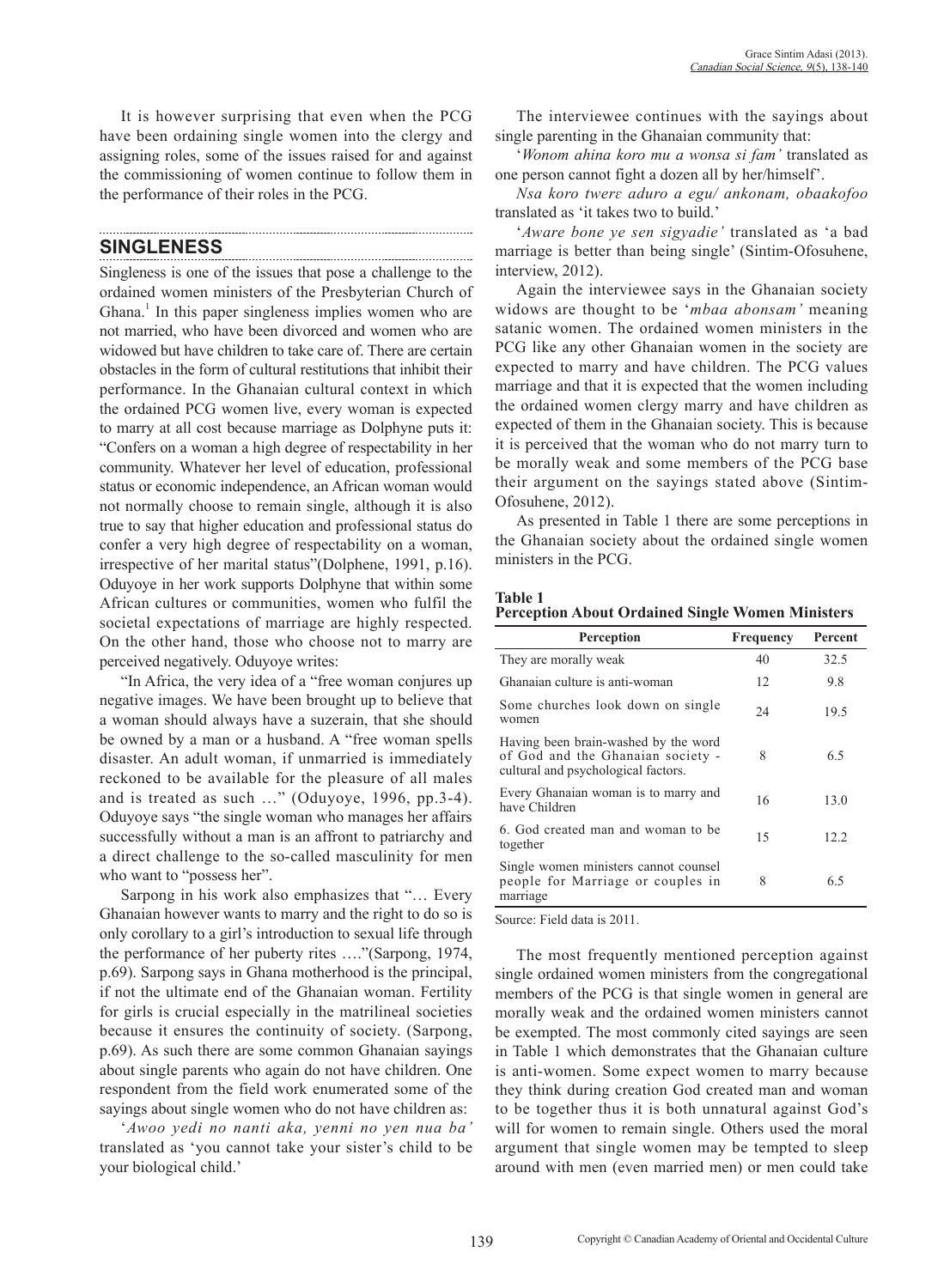It is however surprising that even when the PCG have been ordaining single women into the clergy and assigning roles, some of the issues raised for and against the commissioning of women continue to follow them in the performance of their roles in the PCG.

## **SINGLENESS**

Singleness is one of the issues that pose a challenge to the ordained women ministers of the Presbyterian Church of Ghana.<sup>1</sup> In this paper singleness implies women who are not married, who have been divorced and women who are widowed but have children to take care of. There are certain obstacles in the form of cultural restitutions that inhibit their performance. In the Ghanaian cultural context in which the ordained PCG women live, every woman is expected to marry at all cost because marriage as Dolphyne puts it: "Confers on a woman a high degree of respectability in her community. Whatever her level of education, professional status or economic independence, an African woman would not normally choose to remain single, although it is also true to say that higher education and professional status do confer a very high degree of respectability on a woman, irrespective of her marital status"(Dolphene, 1991, p.16). Oduyoye in her work supports Dolphyne that within some African cultures or communities, women who fulfil the societal expectations of marriage are highly respected. On the other hand, those who choose not to marry are perceived negatively. Oduyoye writes:

"In Africa, the very idea of a "free woman conjures up negative images. We have been brought up to believe that a woman should always have a suzerain, that she should be owned by a man or a husband. A "free woman spells disaster. An adult woman, if unmarried is immediately reckoned to be available for the pleasure of all males and is treated as such …" (Oduyoye, 1996, pp.3-4). Oduyoye says "the single woman who manages her affairs successfully without a man is an affront to patriarchy and a direct challenge to the so-called masculinity for men who want to "possess her".

Sarpong in his work also emphasizes that "… Every Ghanaian however wants to marry and the right to do so is only corollary to a girl's introduction to sexual life through the performance of her puberty rites …."(Sarpong, 1974, p.69). Sarpong says in Ghana motherhood is the principal, if not the ultimate end of the Ghanaian woman. Fertility for girls is crucial especially in the matrilineal societies because it ensures the continuity of society. (Sarpong, p.69). As such there are some common Ghanaian sayings about single parents who again do not have children. One respondent from the field work enumerated some of the sayings about single women who do not have children as:

'*Awoo yedi no nanti aka, yenni no yen nua ba'* translated as 'you cannot take your sister's child to be your biological child.'

The interviewee continues with the sayings about single parenting in the Ghanaian community that:

'*Wonom ahina koro mu a wonsa si fam'* translated as one person cannot fight a dozen all by her/himself'.

*Nsa koro twerɛ aduro a egu/ ankonam, obaakofoo* translated as 'it takes two to build.'

'*Aware bone ye sen sigyadie'* translated as 'a bad marriage is better than being single' (Sintim-Ofosuhene, interview, 2012).

Again the interviewee says in the Ghanaian society widows are thought to be '*mbaa abonsam'* meaning satanic women. The ordained women ministers in the PCG like any other Ghanaian women in the society are expected to marry and have children. The PCG values marriage and that it is expected that the women including the ordained women clergy marry and have children as expected of them in the Ghanaian society. This is because it is perceived that the woman who do not marry turn to be morally weak and some members of the PCG base their argument on the sayings stated above (Sintim-Ofosuhene, 2012).

As presented in Table 1 there are some perceptions in the Ghanaian society about the ordained single women ministers in the PCG.

| іяпі<br>ı |  |
|-----------|--|
|           |  |

|  | <b>Perception About Ordained Single Women Ministers</b> |  |  |
|--|---------------------------------------------------------|--|--|
|--|---------------------------------------------------------|--|--|

| Perception                                                                                                       | Frequency | Percent |
|------------------------------------------------------------------------------------------------------------------|-----------|---------|
| They are morally weak                                                                                            | 40        | 32.5    |
| Ghanaian culture is anti-woman                                                                                   | 12        | 9.8     |
| Some churches look down on single<br>women                                                                       | 24        | 19.5    |
| Having been brain-washed by the word<br>of God and the Ghanaian society -<br>cultural and psychological factors. | 8         | 65      |
| Every Ghanaian woman is to marry and<br>have Children                                                            | 16        | 13.0    |
| 6. God created man and woman to be<br>together                                                                   | 15        | 12.2    |
| Single women ministers cannot counsel<br>people for Marriage or couples in<br>marriage                           | 8         | 65      |

Source: Field data is 2011.

The most frequently mentioned perception against single ordained women ministers from the congregational members of the PCG is that single women in general are morally weak and the ordained women ministers cannot be exempted. The most commonly cited sayings are seen in Table 1 which demonstrates that the Ghanaian culture is anti-women. Some expect women to marry because they think during creation God created man and woman to be together thus it is both unnatural against God's will for women to remain single. Others used the moral argument that single women may be tempted to sleep around with men (even married men) or men could take